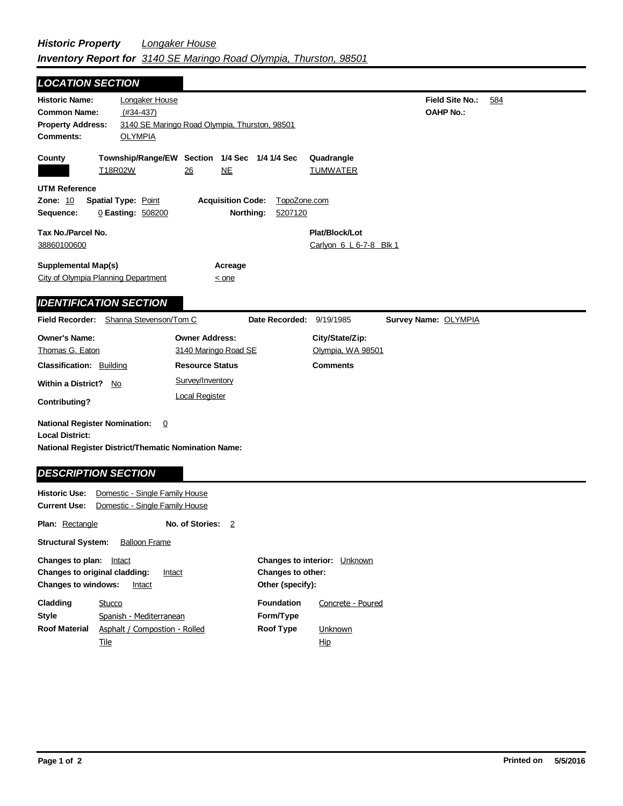| <b>LOCATION SECTION</b>                                                                                        |                                                                                |                                                         |                                            |     |
|----------------------------------------------------------------------------------------------------------------|--------------------------------------------------------------------------------|---------------------------------------------------------|--------------------------------------------|-----|
| <b>Historic Name:</b><br><b>Common Name:</b><br><b>Property Address:</b><br><b>OLYMPIA</b><br><b>Comments:</b> | Longaker House<br>$(#34-437)$<br>3140 SE Maringo Road Olympia, Thurston, 98501 |                                                         | <b>Field Site No.:</b><br><b>OAHP No.:</b> | 584 |
| County<br>T18R02W                                                                                              | Township/Range/EW Section 1/4 Sec 1/4 1/4 Sec<br><b>NE</b><br>26               | Quadrangle<br><b>TUMWATER</b>                           |                                            |     |
| <b>UTM Reference</b><br><b>Zone: 10</b><br><b>Spatial Type: Point</b><br>0 Easting: 508200<br>Sequence:        | <b>Acquisition Code:</b><br>Northing:                                          | TopoZone.com<br>5207120                                 |                                            |     |
| Tax No./Parcel No.<br>38860100600                                                                              |                                                                                | Plat/Block/Lot<br>Carlyon 6 L 6-7-8 Blk 1               |                                            |     |
| <b>Supplemental Map(s)</b><br>City of Olympia Planning Department                                              | Acreage<br>$\leq$ one                                                          |                                                         |                                            |     |
| <b>IDENTIFICATION SECTION</b><br><b>Field Recorder:</b>                                                        | Shanna Stevenson/Tom C                                                         | Date Recorded:<br>9/19/1985                             | Survey Name: OLYMPIA                       |     |
| <b>Owner's Name:</b><br>Thomas G. Eaton<br><b>Classification: Building</b>                                     | <b>Owner Address:</b><br>3140 Maringo Road SE<br><b>Resource Status</b>        | City/State/Zip:<br>Olympia, WA 98501<br><b>Comments</b> |                                            |     |
| <b>Within a District?</b><br>No<br>Contributing?                                                               | Survey/Inventory<br><b>Local Register</b>                                      |                                                         |                                            |     |
| <b>National Register Nomination:</b><br><b>Local District:</b><br><b>DESCRIPTION SECTION</b>                   | $\overline{0}$<br><b>National Register District/Thematic Nomination Name:</b>  |                                                         |                                            |     |
| <b>Historic Use:</b><br><b>Current Use:</b>                                                                    | Domestic - Single Family House<br>Domestic - Single Family House               |                                                         |                                            |     |

**Plan:** Rectangle **Structural System:** Balloon Frame **No. of Stories:** 2

| <b>Changes to plan:</b> Intact |                                         |                          | <b>Changes to interior:</b> Unknown |
|--------------------------------|-----------------------------------------|--------------------------|-------------------------------------|
|                                | Changes to original cladding:<br>Intact | <b>Changes to other:</b> |                                     |
| <b>Changes to windows:</b>     | Intact                                  | Other (specify):         |                                     |
| Cladding                       | Stucco                                  | <b>Foundation</b>        | Concrete - Poured                   |
| <b>Style</b>                   | Spanish - Mediterranean                 | Form/Type                |                                     |
| <b>Roof Material</b>           | Asphalt / Compostion - Rolled           | Roof Type                | Unknown                             |
|                                | Tile                                    |                          | <u>Hip</u>                          |
|                                |                                         |                          |                                     |